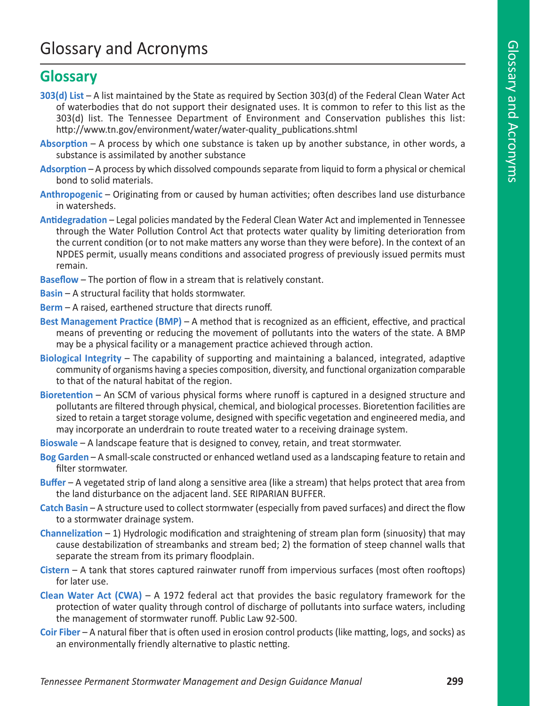## Glossary and Acronyms

## **Glossary**

- **303(d) List** A list maintained by the State as required by Section 303(d) of the Federal Clean Water Act of waterbodies that do not support their designated uses. It is common to refer to this list as the 303(d) list. The Tennessee Department of Environment and Conservation publishes this list: http://www.tn.gov/environment/water/water-quality\_publications.shtml
- **Absorption** A process by which one substance is taken up by another substance, in other words, a substance is assimilated by another substance
- **Adsorption** A process by which dissolved compounds separate from liquid to form a physical or chemical bond to solid materials.
- **Anthropogenic** Originating from or caused by human activities; often describes land use disturbance in watersheds.
- **Antidegradation** Legal policies mandated by the Federal Clean Water Act and implemented in Tennessee through the Water Pollution Control Act that protects water quality by limiting deterioration from the current condition (or to not make matters any worse than they were before). In the context of an NPDES permit, usually means conditions and associated progress of previously issued permits must remain.
- **Baseflow** The portion of flow in a stream that is relatively constant.
- **Basin** A structural facility that holds stormwater.
- **Berm** A raised, earthened structure that directs runoff.
- **Best Management Practice (BMP)** A method that is recognized as an efficient, effective, and practical means of preventing or reducing the movement of pollutants into the waters of the state. A BMP may be a physical facility or a management practice achieved through action.
- **Biological Integrity** The capability of supporting and maintaining a balanced, integrated, adaptive community of organisms having a species composition, diversity, and functional organization comparable to that of the natural habitat of the region.
- **Bioretention** An SCM of various physical forms where runoff is captured in a designed structure and pollutants are filtered through physical, chemical, and biological processes. Bioretention facilities are sized to retain a target storage volume, designed with specific vegetation and engineered media, and may incorporate an underdrain to route treated water to a receiving drainage system.
- **Bioswale** A landscape feature that is designed to convey, retain, and treat stormwater.
- **Bog Garden** A small-scale constructed or enhanced wetland used as a landscaping feature to retain and filter stormwater.
- **Buffer** A vegetated strip of land along a sensitive area (like a stream) that helps protect that area from the land disturbance on the adjacent land. SEE RIPARIAN BUFFER.
- **Catch Basin** A structure used to collect stormwater (especially from paved surfaces) and direct the flow to a stormwater drainage system.
- **Channelization** 1) Hydrologic modification and straightening of stream plan form (sinuosity) that may cause destabilization of streambanks and stream bed; 2) the formation of steep channel walls that separate the stream from its primary floodplain.
- **Cistern** A tank that stores captured rainwater runoff from impervious surfaces (most often rooftops) for later use.
- **Clean Water Act (CWA)** A 1972 federal act that provides the basic regulatory framework for the protection of water quality through control of discharge of pollutants into surface waters, including the management of stormwater runoff. Public Law 92-500.
- **Coir Fiber**  A natural fiber that is often used in erosion control products (like matting, logs, and socks) as an environmentally friendly alternative to plastic netting.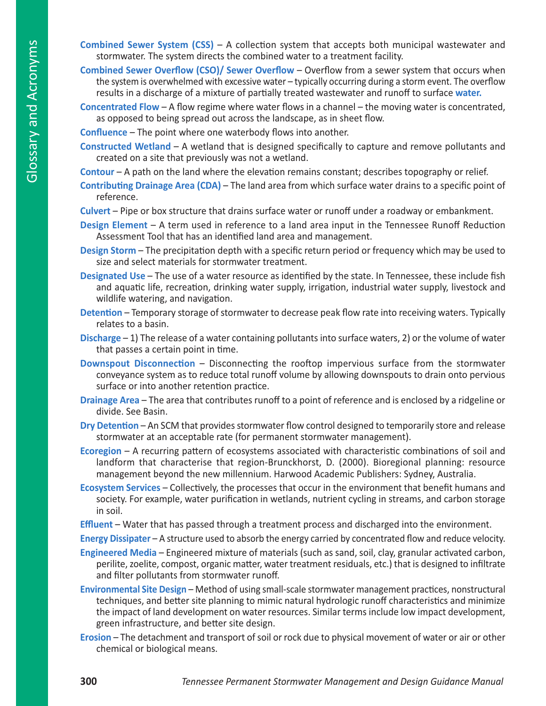- **Combined Sewer System (CSS)** A collection system that accepts both municipal wastewater and stormwater. The system directs the combined water to a treatment facility.
- **Combined Sewer Overflow (CSO)/ Sewer Overflow** Overflow from a sewer system that occurs when the system is overwhelmed with excessive water – typically occurring during a storm event. The overflow results in a discharge of a mixture of partially treated wastewater and runoff to surface **water.**
- **Concentrated Flow** A flow regime where water flows in a channel the moving water is concentrated, as opposed to being spread out across the landscape, as in sheet flow.

**Confluence** – The point where one waterbody flows into another.

**Constructed Wetland** – A wetland that is designed specifically to capture and remove pollutants and created on a site that previously was not a wetland.

**Contour** – A path on the land where the elevation remains constant; describes topography or relief.

- **Contributing Drainage Area (CDA)** The land area from which surface water drains to a specific point of reference.
- **Culvert** Pipe or box structure that drains surface water or runoff under a roadway or embankment.
- **Design Element** A term used in reference to a land area input in the Tennessee Runoff Reduction Assessment Tool that has an identified land area and management.
- **Design Storm** The precipitation depth with a specific return period or frequency which may be used to size and select materials for stormwater treatment.
- **Designated Use** The use of a water resource as identified by the state. In Tennessee, these include fish and aquatic life, recreation, drinking water supply, irrigation, industrial water supply, livestock and wildlife watering, and navigation.
- **Detention** Temporary storage of stormwater to decrease peak flow rate into receiving waters. Typically relates to a basin.
- **Discharge** 1) The release of a water containing pollutants into surface waters, 2) or the volume of water that passes a certain point in time.
- **Downspout Disconnection** Disconnecting the rooftop impervious surface from the stormwater conveyance system as to reduce total runoff volume by allowing downspouts to drain onto pervious surface or into another retention practice.
- **Drainage Area** The area that contributes runoff to a point of reference and is enclosed by a ridgeline or divide. See Basin.
- **Dry Detention** An SCM that provides stormwater flow control designed to temporarily store and release stormwater at an acceptable rate (for permanent stormwater management).
- **Ecoregion** A recurring pattern of ecosystems associated with characteristic combinations of soil and landform that characterise that region-Brunckhorst, D. (2000). Bioregional planning: resource management beyond the new millennium. Harwood Academic Publishers: Sydney, Australia.
- **Ecosystem Services** Collectively, the processes that occur in the environment that benefit humans and society. For example, water purification in wetlands, nutrient cycling in streams, and carbon storage in soil.

**Effluent** – Water that has passed through a treatment process and discharged into the environment.

**Energy Dissipater** – A structure used to absorb the energy carried by concentrated flow and reduce velocity.

**Engineered Media** – Engineered mixture of materials (such as sand, soil, clay, granular activated carbon, perilite, zoelite, compost, organic matter, water treatment residuals, etc.) that is designed to infiltrate and filter pollutants from stormwater runoff.

- **Environmental Site Design** Method of using small-scale stormwater management practices, nonstructural techniques, and better site planning to mimic natural hydrologic runoff characteristics and minimize the impact of land development on water resources. Similar terms include low impact development, green infrastructure, and better site design.
- **Erosion** The detachment and transport of soil or rock due to physical movement of water or air or other chemical or biological means.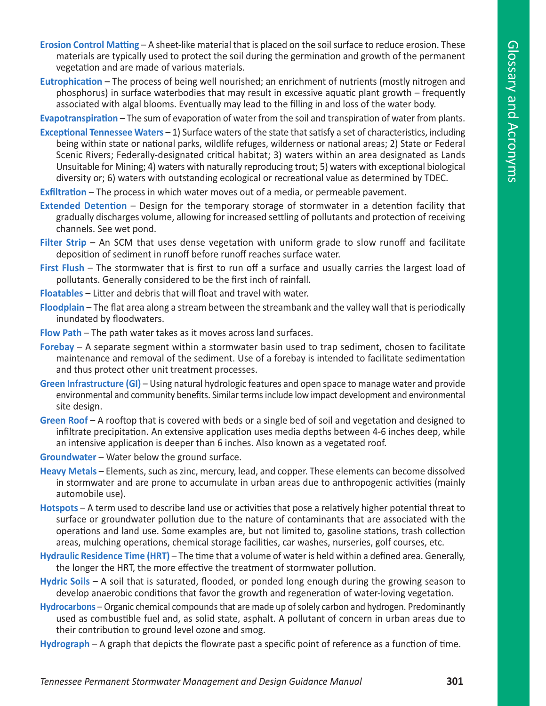- **Erosion Control Matting**  A sheet-like material that is placed on the soil surface to reduce erosion. These materials are typically used to protect the soil during the germination and growth of the permanent vegetation and are made of various materials.
- **Eutrophication** The process of being well nourished; an enrichment of nutrients (mostly nitrogen and phosphorus) in surface waterbodies that may result in excessive aquatic plant growth – frequently associated with algal blooms. Eventually may lead to the filling in and loss of the water body.

**Evapotranspiration** – The sum of evaporation of water from the soil and transpiration of water from plants.

- **Exceptional Tennessee Waters**  1) Surface waters of the state that satisfy a set of characteristics, including being within state or national parks, wildlife refuges, wilderness or national areas; 2) State or Federal Scenic Rivers; Federally-designated critical habitat; 3) waters within an area designated as Lands Unsuitable for Mining; 4) waters with naturally reproducing trout; 5) waters with exceptional biological diversity or; 6) waters with outstanding ecological or recreational value as determined by TDEC.
- **Exfiltration** The process in which water moves out of a media, or permeable pavement.
- **Extended Detention**  Design for the temporary storage of stormwater in a detention facility that gradually discharges volume, allowing for increased settling of pollutants and protection of receiving channels. See wet pond.
- **Filter Strip** An SCM that uses dense vegetation with uniform grade to slow runoff and facilitate deposition of sediment in runoff before runoff reaches surface water.
- **First Flush** The stormwater that is first to run off a surface and usually carries the largest load of pollutants. Generally considered to be the first inch of rainfall.
- **Floatables** Litter and debris that will float and travel with water.
- **Floodplain** The flat area along a stream between the streambank and the valley wall that is periodically inundated by floodwaters.
- **Flow Path** The path water takes as it moves across land surfaces.
- **Forebay** A separate segment within a stormwater basin used to trap sediment, chosen to facilitate maintenance and removal of the sediment. Use of a forebay is intended to facilitate sedimentation and thus protect other unit treatment processes.
- **Green Infrastructure (GI)** Using natural hydrologic features and open space to manage water and provide environmental and community benefits. Similar terms include low impact development and environmental site design.
- **Green Roof**  A rooftop that is covered with beds or a single bed of soil and vegetation and designed to infiltrate precipitation. An extensive application uses media depths between 4-6 inches deep, while an intensive application is deeper than 6 inches. Also known as a vegetated roof.
- **Groundwater** Water below the ground surface.
- **Heavy Metals**  Elements, such as zinc, mercury, lead, and copper. These elements can become dissolved in stormwater and are prone to accumulate in urban areas due to anthropogenic activities (mainly automobile use).
- **Hotspots** A term used to describe land use or activities that pose a relatively higher potential threat to surface or groundwater pollution due to the nature of contaminants that are associated with the operations and land use. Some examples are, but not limited to, gasoline stations, trash collection areas, mulching operations, chemical storage facilities, car washes, nurseries, golf courses, etc.
- **Hydraulic Residence Time (HRT)** The time that a volume of water is held within a defined area. Generally, the longer the HRT, the more effective the treatment of stormwater pollution.
- **Hydric Soils**  A soil that is saturated, flooded, or ponded long enough during the growing season to develop anaerobic conditions that favor the growth and regeneration of water-loving vegetation.
- **Hydrocarbons** Organic chemical compounds that are made up of solely carbon and hydrogen. Predominantly used as combustible fuel and, as solid state, asphalt. A pollutant of concern in urban areas due to their contribution to ground level ozone and smog.
- **Hydrograph** A graph that depicts the flowrate past a specific point of reference as a function of time.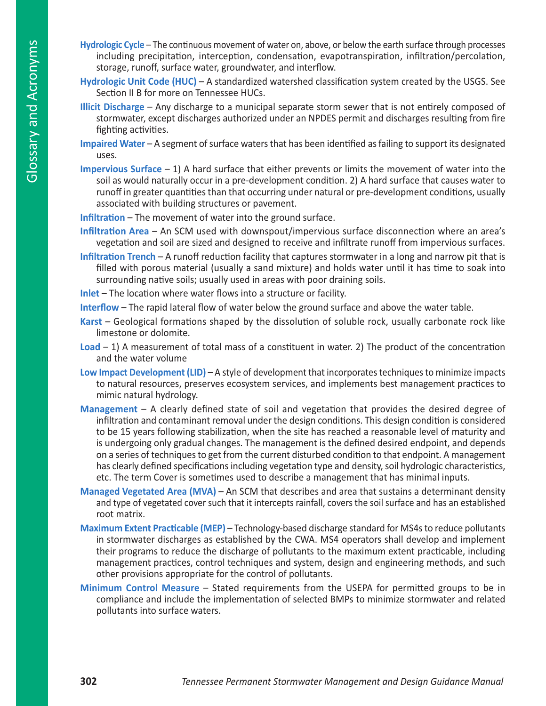- **Hydrologic Cycle** The continuous movement of water on, above, or below the earth surface through processes including precipitation, interception, condensation, evapotranspiration, infiltration/percolation, storage, runoff, surface water, groundwater, and interflow.
- **Hydrologic Unit Code (HUC)** A standardized watershed classification system created by the USGS. See Section II B for more on Tennessee HUCs.
- **Illicit Discharge** Any discharge to a municipal separate storm sewer that is not entirely composed of stormwater, except discharges authorized under an NPDES permit and discharges resulting from fire fighting activities.
- **Impaired Water** A segment of surface waters that has been identified as failing to support its designated uses.
- **Impervious Surface** 1) A hard surface that either prevents or limits the movement of water into the soil as would naturally occur in a pre-development condition. 2) A hard surface that causes water to runoff in greater quantities than that occurring under natural or pre-development conditions, usually associated with building structures or pavement.

**Infiltration** – The movement of water into the ground surface.

- **Infiltration Area** An SCM used with downspout/impervious surface disconnection where an area's vegetation and soil are sized and designed to receive and infiltrate runoff from impervious surfaces.
- **Infiltration Trench** A runoff reduction facility that captures stormwater in a long and narrow pit that is filled with porous material (usually a sand mixture) and holds water until it has time to soak into surrounding native soils; usually used in areas with poor draining soils.

**Inlet** – The location where water flows into a structure or facility.

**Interflow** – The rapid lateral flow of water below the ground surface and above the water table.

- **Karst** Geological formations shaped by the dissolution of soluble rock, usually carbonate rock like limestone or dolomite.
- **Load** 1) A measurement of total mass of a constituent in water. 2) The product of the concentration and the water volume
- **Low Impact Development (LID)** A style of development that incorporates techniques to minimize impacts to natural resources, preserves ecosystem services, and implements best management practices to mimic natural hydrology.
- **Management** A clearly defined state of soil and vegetation that provides the desired degree of infiltration and contaminant removal under the design conditions. This design condition is considered to be 15 years following stabilization, when the site has reached a reasonable level of maturity and is undergoing only gradual changes. The management is the defined desired endpoint, and depends on a series of techniques to get from the current disturbed condition to that endpoint. A management has clearly defined specifications including vegetation type and density, soil hydrologic characteristics, etc. The term Cover is sometimes used to describe a management that has minimal inputs.
- **Managed Vegetated Area (MVA) An SCM that describes and area that sustains a determinant density** and type of vegetated cover such that it intercepts rainfall, covers the soil surface and has an established root matrix.
- **Maximum Extent Practicable (MEP)** Technology-based discharge standard for MS4s to reduce pollutants in stormwater discharges as established by the CWA. MS4 operators shall develop and implement their programs to reduce the discharge of pollutants to the maximum extent practicable, including management practices, control techniques and system, design and engineering methods, and such other provisions appropriate for the control of pollutants.
- **Minimum Control Measure** Stated requirements from the USEPA for permitted groups to be in compliance and include the implementation of selected BMPs to minimize stormwater and related pollutants into surface waters.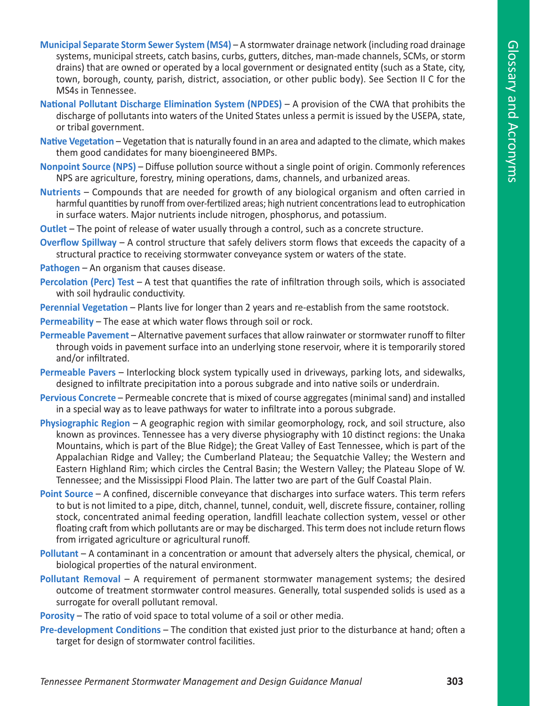- **Municipal Separate Storm Sewer System (MS4)** A stormwater drainage network (including road drainage systems, municipal streets, catch basins, curbs, gutters, ditches, man-made channels, SCMs, or storm drains) that are owned or operated by a local government or designated entity (such as a State, city, town, borough, county, parish, district, association, or other public body). See Section II C for the MS4s in Tennessee.
- **National Pollutant Discharge Elimination System (NPDES)** A provision of the CWA that prohibits the discharge of pollutants into waters of the United States unless a permit is issued by the USEPA, state, or tribal government.
- **Native Vegetation** Vegetation that is naturally found in an area and adapted to the climate, which makes them good candidates for many bioengineered BMPs.
- **Nonpoint Source (NPS)** Diffuse pollution source without a single point of origin. Commonly references NPS are agriculture, forestry, mining operations, dams, channels, and urbanized areas.
- **Nutrients** Compounds that are needed for growth of any biological organism and often carried in harmful quantities by runoff from over-fertilized areas; high nutrient concentrations lead to eutrophication in surface waters. Major nutrients include nitrogen, phosphorus, and potassium.
- **Outlet** The point of release of water usually through a control, such as a concrete structure.
- **Overflow Spillway** A control structure that safely delivers storm flows that exceeds the capacity of a structural practice to receiving stormwater conveyance system or waters of the state.
- **Pathogen** An organism that causes disease.
- **Percolation (Perc) Test** A test that quantifies the rate of infiltration through soils, which is associated with soil hydraulic conductivity.
- **Perennial Vegetation** Plants live for longer than 2 years and re-establish from the same rootstock.
- **Permeability** The ease at which water flows through soil or rock.
- **Permeable Pavement**  Alternative pavement surfaces that allow rainwater or stormwater runoff to filter through voids in pavement surface into an underlying stone reservoir, where it is temporarily stored and/or infiltrated.
- **Permeable Pavers** Interlocking block system typically used in driveways, parking lots, and sidewalks, designed to infiltrate precipitation into a porous subgrade and into native soils or underdrain.
- **Pervious Concrete** Permeable concrete that is mixed of course aggregates (minimal sand) and installed in a special way as to leave pathways for water to infiltrate into a porous subgrade.
- **Physiographic Region** A geographic region with similar geomorphology, rock, and soil structure, also known as provinces. Tennessee has a very diverse physiography with 10 distinct regions: the Unaka Mountains, which is part of the Blue Ridge); the Great Valley of East Tennessee, which is part of the Appalachian Ridge and Valley; the Cumberland Plateau; the Sequatchie Valley; the Western and Eastern Highland Rim; which circles the Central Basin; the Western Valley; the Plateau Slope of W. Tennessee; and the Mississippi Flood Plain. The latter two are part of the Gulf Coastal Plain.
- **Point Source** A confined, discernible conveyance that discharges into surface waters. This term refers to but is not limited to a pipe, ditch, channel, tunnel, conduit, well, discrete fissure, container, rolling stock, concentrated animal feeding operation, landfill leachate collection system, vessel or other floating craft from which pollutants are or may be discharged. This term does not include return flows from irrigated agriculture or agricultural runoff.
- **Pollutant** A contaminant in a concentration or amount that adversely alters the physical, chemical, or biological properties of the natural environment.
- **Pollutant Removal**  A requirement of permanent stormwater management systems; the desired outcome of treatment stormwater control measures. Generally, total suspended solids is used as a surrogate for overall pollutant removal.

**Porosity** – The ratio of void space to total volume of a soil or other media.

**Pre-development Conditions** – The condition that existed just prior to the disturbance at hand; often a target for design of stormwater control facilities.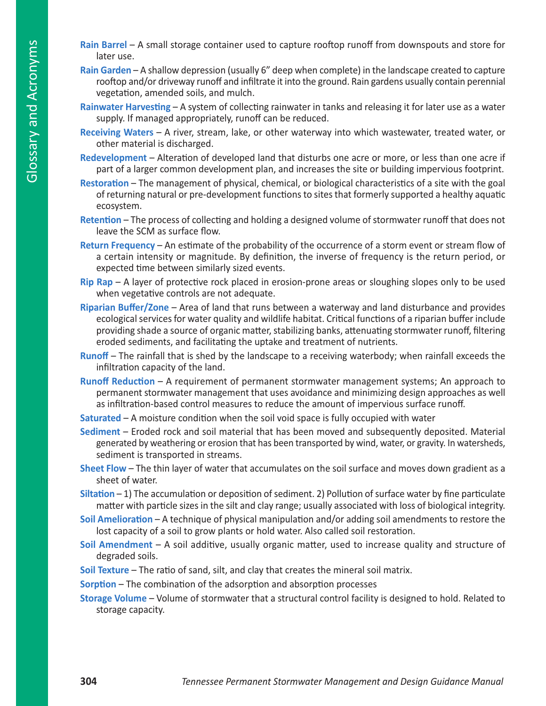- Glossary and Acronyms Glossary and Acronyms
- **Rain Barrel**  A small storage container used to capture rooftop runoff from downspouts and store for later use.
- **Rain Garden** A shallow depression (usually 6" deep when complete) in the landscape created to capture rooftop and/or driveway runoff and infiltrate it into the ground. Rain gardens usually contain perennial vegetation, amended soils, and mulch.
- **Rainwater Harvesting** A system of collecting rainwater in tanks and releasing it for later use as a water supply. If managed appropriately, runoff can be reduced.
- **Receiving Waters**  A river, stream, lake, or other waterway into which wastewater, treated water, or other material is discharged.
- **Redevelopment** Alteration of developed land that disturbs one acre or more, or less than one acre if part of a larger common development plan, and increases the site or building impervious footprint.
- **Restoration** The management of physical, chemical, or biological characteristics of a site with the goal of returning natural or pre-development functions to sites that formerly supported a healthy aquatic ecosystem.
- **Retention** The process of collecting and holding a designed volume of stormwater runoff that does not leave the SCM as surface flow.
- **Return Frequency** An estimate of the probability of the occurrence of a storm event or stream flow of a certain intensity or magnitude. By definition, the inverse of frequency is the return period, or expected time between similarly sized events.
- **Rip Rap** A layer of protective rock placed in erosion-prone areas or sloughing slopes only to be used when vegetative controls are not adequate.
- **Riparian Buffer/Zone** Area of land that runs between a waterway and land disturbance and provides ecological services for water quality and wildlife habitat. Critical functions of a riparian buffer include providing shade a source of organic matter, stabilizing banks, attenuating stormwater runoff, filtering eroded sediments, and facilitating the uptake and treatment of nutrients.
- **Runoff** The rainfall that is shed by the landscape to a receiving waterbody; when rainfall exceeds the infiltration capacity of the land.
- **Runoff Reduction** A requirement of permanent stormwater management systems; An approach to permanent stormwater management that uses avoidance and minimizing design approaches as well as infiltration-based control measures to reduce the amount of impervious surface runoff.
- **Saturated** A moisture condition when the soil void space is fully occupied with water
- **Sediment** Eroded rock and soil material that has been moved and subsequently deposited. Material generated by weathering or erosion that has been transported by wind, water, or gravity. In watersheds, sediment is transported in streams.
- **Sheet Flow** The thin layer of water that accumulates on the soil surface and moves down gradient as a sheet of water.
- **Siltation** 1) The accumulation or deposition of sediment. 2) Pollution of surface water by fine particulate matter with particle sizes in the silt and clay range; usually associated with loss of biological integrity.
- **Soil Amelioration** A technique of physical manipulation and/or adding soil amendments to restore the lost capacity of a soil to grow plants or hold water. Also called soil restoration.
- **Soil Amendment**  A soil additive, usually organic matter, used to increase quality and structure of degraded soils.
- **Soil Texture** The ratio of sand, silt, and clay that creates the mineral soil matrix.
- **Sorption** The combination of the adsorption and absorption processes
- **Storage Volume** Volume of stormwater that a structural control facility is designed to hold. Related to storage capacity.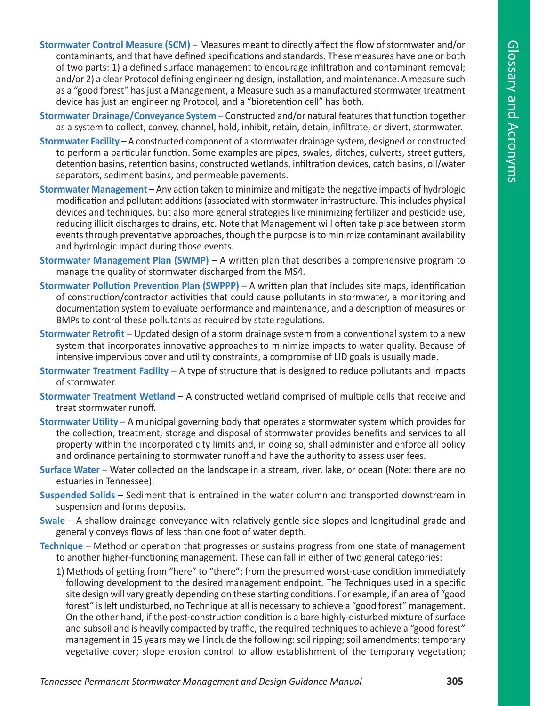- **Stormwater Control Measure (SCM)** Measures meant to directly affect the flow of stormwater and/or contaminants, and that have defined specifications and standards. These measures have one or both of two parts: 1) a defined surface management to encourage infiltration and contaminant removal; and/or 2) a clear Protocol defining engineering design, installation, and maintenance. A measure such as a "good forest" has just a Management, a Measure such as a manufactured stormwater treatment device has just an engineering Protocol, and a "bioretention cell" has both.
- **Stormwater Drainage/Conveyance System** Constructed and/or natural features that function together as a system to collect, convey, channel, hold, inhibit, retain, detain, infiltrate, or divert, stormwater.
- **Stormwater Facility** A constructed component of a stormwater drainage system, designed or constructed to perform a particular function. Some examples are pipes, swales, ditches, culverts, street gutters, detention basins, retention basins, constructed wetlands, infiltration devices, catch basins, oil/water separators, sediment basins, and permeable pavements.
- **Stormwater Management** Any action taken to minimize and mitigate the negative impacts of hydrologic modification and pollutant additions (associated with stormwater infrastructure. This includes physical devices and techniques, but also more general strategies like minimizing fertilizer and pesticide use, reducing illicit discharges to drains, etc. Note that Management will often take place between storm events through preventative approaches, though the purpose is to minimize contaminant availability and hydrologic impact during those events.
- **Stormwater Management Plan (SWMP)** A written plan that describes a comprehensive program to manage the quality of stormwater discharged from the MS4.
- **Stormwater Pollution Prevention Plan (SWPPP)**  A written plan that includes site maps, identification of construction/contractor activities that could cause pollutants in stormwater, a monitoring and documentation system to evaluate performance and maintenance, and a description of measures or BMPs to control these pollutants as required by state regulations.
- **Stormwater Retrofit** Updated design of a storm drainage system from a conventional system to a new system that incorporates innovative approaches to minimize impacts to water quality. Because of intensive impervious cover and utility constraints, a compromise of LID goals is usually made.
- **Stormwater Treatment Facility** A type of structure that is designed to reduce pollutants and impacts of stormwater.
- **Stormwater Treatment Wetland** A constructed wetland comprised of multiple cells that receive and treat stormwater runoff.
- **Stormwater Utility** A municipal governing body that operates a stormwater system which provides for the collection, treatment, storage and disposal of stormwater provides benefits and services to all property within the incorporated city limits and, in doing so, shall administer and enforce all policy and ordinance pertaining to stormwater runoff and have the authority to assess user fees.
- **Surface Water**  Water collected on the landscape in a stream, river, lake, or ocean (Note: there are no estuaries in Tennessee).
- **Suspended Solids** Sediment that is entrained in the water column and transported downstream in suspension and forms deposits.
- **Swale**  A shallow drainage conveyance with relatively gentle side slopes and longitudinal grade and generally conveys flows of less than one foot of water depth.
- **Technique** Method or operation that progresses or sustains progress from one state of management to another higher-functioning management. These can fall in either of two general categories:
	- 1) Methods of getting from "here" to "there"; from the presumed worst-case condition immediately following development to the desired management endpoint. The Techniques used in a specific site design will vary greatly depending on these starting conditions. For example, if an area of "good forest" is left undisturbed, no Technique at all is necessary to achieve a "good forest" management. On the other hand, if the post-construction condition is a bare highly-disturbed mixture of surface and subsoil and is heavily compacted by traffic, the required techniques to achieve a "good forest" management in 15 years may well include the following: soil ripping; soil amendments; temporary vegetative cover; slope erosion control to allow establishment of the temporary vegetation;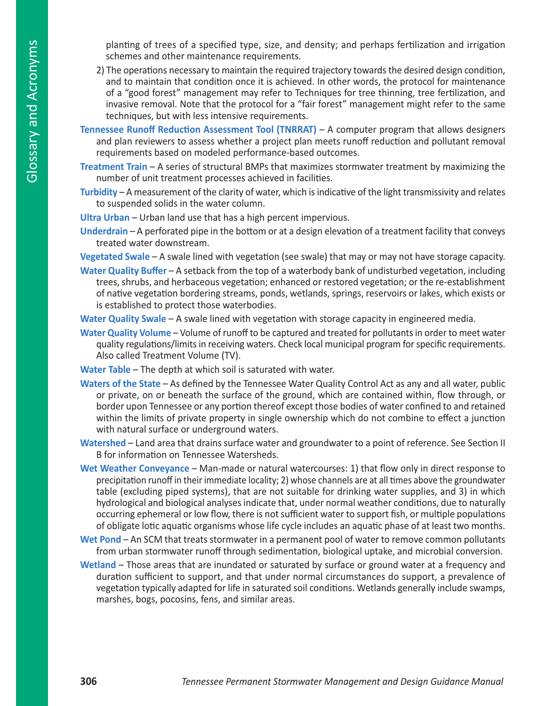planting of trees of a specified type, size, and density; and perhaps fertilization and irrigation schemes and other maintenance requirements.

- 2) The operations necessary to maintain the required trajectory towards the desired design condition, and to maintain that condition once it is achieved. In other words, the protocol for maintenance of a "good forest" management may refer to Techniques for tree thinning, tree fertilization, and invasive removal. Note that the protocol for a "fair forest" management might refer to the same techniques, but with less intensive requirements.
- **Tennessee Runoff Reduction Assessment Tool (TNRRAT)**  A computer program that allows designers and plan reviewers to assess whether a project plan meets runoff reduction and pollutant removal requirements based on modeled performance-based outcomes.
- **Treatment Train**  A series of structural BMPs that maximizes stormwater treatment by maximizing the number of unit treatment processes achieved in facilities.
- **Turbidity** A measurement of the clarity of water, which is indicative of the light transmissivity and relates to suspended solids in the water column.
- **Ultra Urban** Urban land use that has a high percent impervious.
- **Underdrain** A perforated pipe in the bottom or at a design elevation of a treatment facility that conveys treated water downstream.

**Vegetated Swale** – A swale lined with vegetation (see swale) that may or may not have storage capacity.

**Water Quality Buffer** – A setback from the top of a waterbody bank of undisturbed vegetation, including trees, shrubs, and herbaceous vegetation; enhanced or restored vegetation; or the re-establishment of native vegetation bordering streams, ponds, wetlands, springs, reservoirs or lakes, which exists or is established to protect those waterbodies.

**Water Quality Swale** – A swale lined with vegetation with storage capacity in engineered media.

**Water Quality Volume** – Volume of runoff to be captured and treated for pollutants in order to meet water quality regulations/limits in receiving waters. Check local municipal program for specific requirements. Also called Treatment Volume (TV).

**Water Table** – The depth at which soil is saturated with water.

- **Waters of the State**  As defined by the Tennessee Water Quality Control Act as any and all water, public or private, on or beneath the surface of the ground, which are contained within, flow through, or border upon Tennessee or any portion thereof except those bodies of water confined to and retained within the limits of private property in single ownership which do not combine to effect a junction with natural surface or underground waters.
- **Watershed**  Land area that drains surface water and groundwater to a point of reference. See Section II B for information on Tennessee Watersheds.
- **Wet Weather Conveyance** Man-made or natural watercourses: 1) that flow only in direct response to precipitation runoff in their immediate locality; 2) whose channels are at all times above the groundwater table (excluding piped systems), that are not suitable for drinking water supplies, and 3) in which hydrological and biological analyses indicate that, under normal weather conditions, due to naturally occurring ephemeral or low flow, there is not sufficient water to support fish, or multiple populations of obligate lotic aquatic organisms whose life cycle includes an aquatic phase of at least two months.
- Wet Pond An SCM that treats stormwater in a permanent pool of water to remove common pollutants from urban stormwater runoff through sedimentation, biological uptake, and microbial conversion.
- **Wetland** Those areas that are inundated or saturated by surface or ground water at a frequency and duration sufficient to support, and that under normal circumstances do support, a prevalence of vegetation typically adapted for life in saturated soil conditions. Wetlands generally include swamps, marshes, bogs, pocosins, fens, and similar areas.